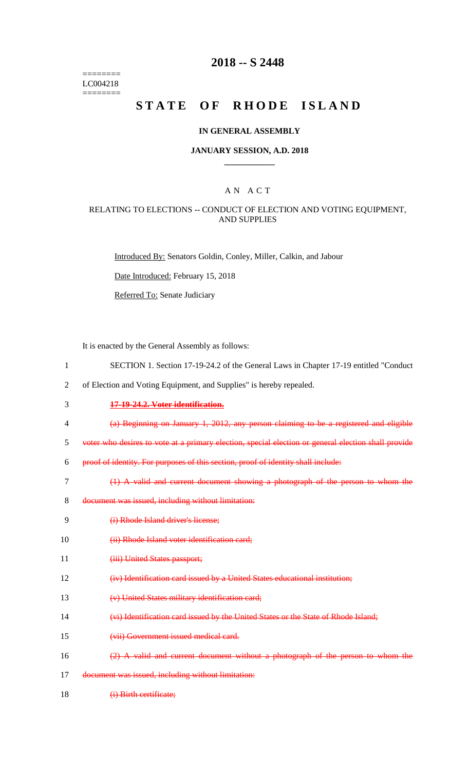======== LC004218 ========

## **2018 -- S 2448**

# STATE OF RHODE ISLAND

#### **IN GENERAL ASSEMBLY**

#### **JANUARY SESSION, A.D. 2018 \_\_\_\_\_\_\_\_\_\_\_\_**

### A N A C T

#### RELATING TO ELECTIONS -- CONDUCT OF ELECTION AND VOTING EQUIPMENT, AND SUPPLIES

Introduced By: Senators Goldin, Conley, Miller, Calkin, and Jabour

Date Introduced: February 15, 2018

Referred To: Senate Judiciary

It is enacted by the General Assembly as follows:

- 1 SECTION 1. Section 17-19-24.2 of the General Laws in Chapter 17-19 entitled "Conduct
- 2 of Election and Voting Equipment, and Supplies" is hereby repealed.
- 3 **17-19-24.2. Voter identification.**
- 4 (a) Beginning on January 1, 2012, any person claiming to be a registered and eligible

5 voter who desires to vote at a primary election, special election or general election shall provide

- 6 proof of identity. For purposes of this section, proof of identity shall include:
- 7 (1) A valid and current document showing a photograph of the person to whom the
- 8 document was issued, including without limitation:
- 9 (i) Rhode Island driver's license;
- 10 (ii) Rhode Island voter identification card;
- 11 (iii) United States passport;
- 12 (iv) Identification card issued by a United States educational institution;
- 13 (v) United States military identification card;
- 14 (vi) Identification card issued by the United States or the State of Rhode Island;
- 15 (vii) Government issued medical card.
- 16 (2) A valid and current document without a photograph of the person to whom the
- 17 document was issued, including without limitation:
- 18 (i) Birth certificate;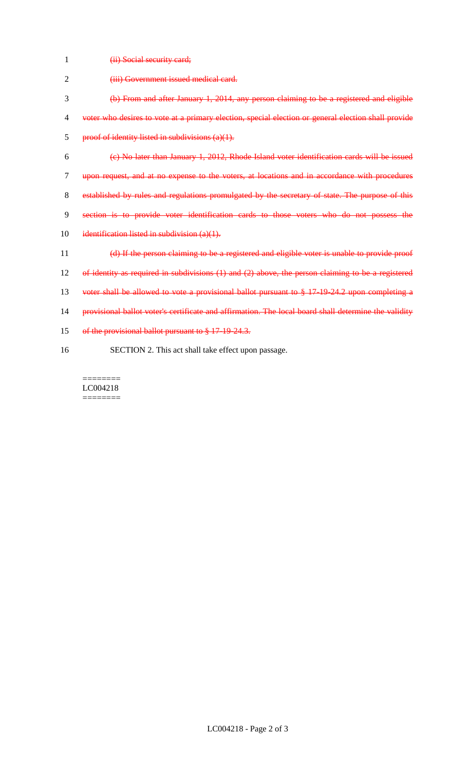1 **(ii) Social security card;** 

| $\overline{2}$ | (iii) Government issued medical card.                                                                |
|----------------|------------------------------------------------------------------------------------------------------|
| 3              | (b) From and after January 1, 2014, any person claiming to be a registered and eligible              |
| 4              | voter who desires to vote at a primary election, special election or general election shall provide  |
| 5              | proof of identity listed in subdivisions (a)(1).                                                     |
| 6              | (e) No later than January 1, 2012, Rhode Island voter identification cards will be issued            |
| 7              | upon request, and at no expense to the voters, at locations and in accordance with procedures        |
| 8              | established by rules and regulations promulgated by the secretary of state. The purpose of this      |
| 9              | section is to provide voter identification cards to those voters who do not possess the              |
| 10             | identification listed in subdivision (a)(1).                                                         |
| 11             | (d) If the person claiming to be a registered and eligible voter is unable to provide proof          |
| 12             | of identity as required in subdivisions (1) and (2) above, the person claiming to be a registered    |
| 13             | voter shall be allowed to vote a provisional ballot pursuant to § 17-19-24.2 upon completing a       |
| 14             | provisional ballot voter's certificate and affirmation. The local board shall determine the validity |
| 15             | of the provisional ballot pursuant to § 17-19-24.3.                                                  |
| 16             | SECTION 2. This act shall take effect upon passage.                                                  |

 $\begin{minipage}{0.9\linewidth} \begin{tabular}{l} \hline \textbf{r} & \textbf{r} \\ \hline \textbf{r} & \textbf{r} \\ \hline \textbf{r} & \textbf{r} \\ \hline \textbf{r} & \textbf{r} \\ \hline \textbf{r} & \textbf{r} \\ \hline \textbf{r} & \textbf{r} \\ \hline \textbf{r} & \textbf{r} \\ \hline \textbf{r} & \textbf{r} \\ \hline \textbf{r} & \textbf{r} \\ \hline \textbf{r} & \textbf{r} \\ \hline \textbf{r} & \textbf{r} \\ \hline \textbf{r} & \text$ LC004218  $=$